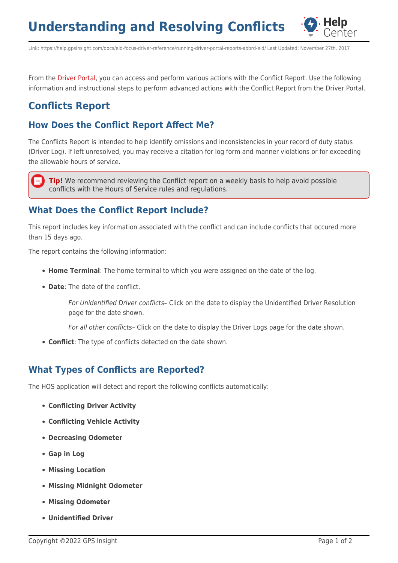**Understanding and Resolving Conflicts**



Link: https://help.gpsinsight.com/docs/eld-focus-driver-reference/running-driver-portal-reports-aobrd-eld/ Last Updated: November 27th, 2017

From the [Driver Portal,](https://help.gpsinsight.com/docs/hos/driver-reference/exploring-the-driver-portal/) you can access and perform various actions with the Conflict Report. Use the following information and instructional steps to perform advanced actions with the Conflict Report from the Driver Portal.

# **Conflicts Report**

## **How Does the Conflict Report Affect Me?**

The Conflicts Report is intended to help identify omissions and inconsistencies in your record of duty status (Driver Log). If left unresolved, you may receive a citation for log form and manner violations or for exceeding the allowable hours of service.

**Tip!** We recommend reviewing the Conflict report on a weekly basis to help avoid possible conflicts with the Hours of Service rules and regulations.

#### **What Does the Conflict Report Include?**

This report includes key information associated with the conflict and can include conflicts that occured more than 15 days ago.

The report contains the following information:

- **Home Terminal**: The home terminal to which you were assigned on the date of the log.
- **Date**: The date of the conflict.

For Unidentified Driver conflicts– Click on the date to display the Unidentified Driver Resolution page for the date shown.

For all other conflicts– Click on the date to display the Driver Logs page for the date shown.

**Conflict**: The type of conflicts detected on the date shown.

## **What Types of Conflicts are Reported?**

The HOS application will detect and report the following conflicts automatically:

- **Conflicting Driver Activity**
- **Conflicting Vehicle Activity**
- **Decreasing Odometer**
- **Gap in Log**
- **Missing Location**
- **Missing Midnight Odometer**
- **Missing Odometer**
- **Unidentified Driver**